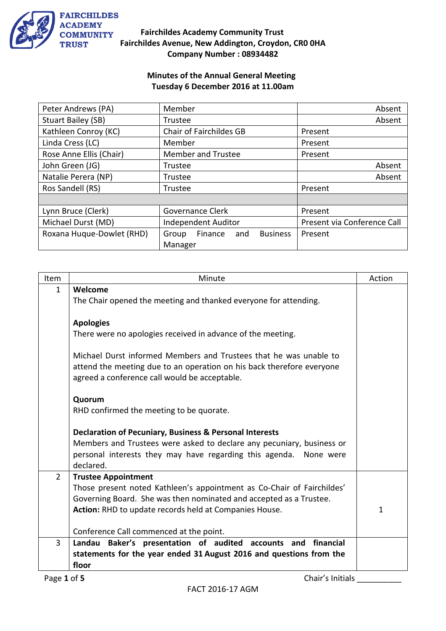

#### **Minutes of the Annual General Meeting Tuesday 6 December 2016 at 11.00am**

| Peter Andrews (PA)        | Member                                     | Absent                      |
|---------------------------|--------------------------------------------|-----------------------------|
| Stuart Bailey (SB)        | Trustee                                    | Absent                      |
| Kathleen Conroy (KC)      | Chair of Fairchildes GB                    | Present                     |
| Linda Cress (LC)          | Member                                     | Present                     |
| Rose Anne Ellis (Chair)   | <b>Member and Trustee</b>                  | Present                     |
| John Green (JG)           | Trustee                                    | Absent                      |
| Natalie Perera (NP)       | Trustee                                    | Absent                      |
| Ros Sandell (RS)          | Trustee                                    | Present                     |
|                           |                                            |                             |
| Lynn Bruce (Clerk)        | Governance Clerk                           | Present                     |
| Michael Durst (MD)        | Independent Auditor                        | Present via Conference Call |
| Roxana Huque-Dowlet (RHD) | <b>Business</b><br>Finance<br>and<br>Group | Present                     |
|                           | Manager                                    |                             |

| Item           | Minute                                                                 | Action       |
|----------------|------------------------------------------------------------------------|--------------|
| $\mathbf{1}$   | Welcome                                                                |              |
|                | The Chair opened the meeting and thanked everyone for attending.       |              |
|                |                                                                        |              |
|                | <b>Apologies</b>                                                       |              |
|                | There were no apologies received in advance of the meeting.            |              |
|                | Michael Durst informed Members and Trustees that he was unable to      |              |
|                | attend the meeting due to an operation on his back therefore everyone  |              |
|                | agreed a conference call would be acceptable.                          |              |
|                |                                                                        |              |
|                | Quorum                                                                 |              |
|                | RHD confirmed the meeting to be quorate.                               |              |
|                |                                                                        |              |
|                | Declaration of Pecuniary, Business & Personal Interests                |              |
|                | Members and Trustees were asked to declare any pecuniary, business or  |              |
|                | personal interests they may have regarding this agenda. None were      |              |
|                | declared.                                                              |              |
| $\overline{2}$ | <b>Trustee Appointment</b>                                             |              |
|                | Those present noted Kathleen's appointment as Co-Chair of Fairchildes' |              |
|                | Governing Board. She was then nominated and accepted as a Trustee.     | $\mathbf{1}$ |
|                | Action: RHD to update records held at Companies House.                 |              |
|                | Conference Call commenced at the point.                                |              |
| 3              | Landau Baker's presentation of audited accounts and<br>financial       |              |
|                | statements for the year ended 31 August 2016 and questions from the    |              |
|                | floor                                                                  |              |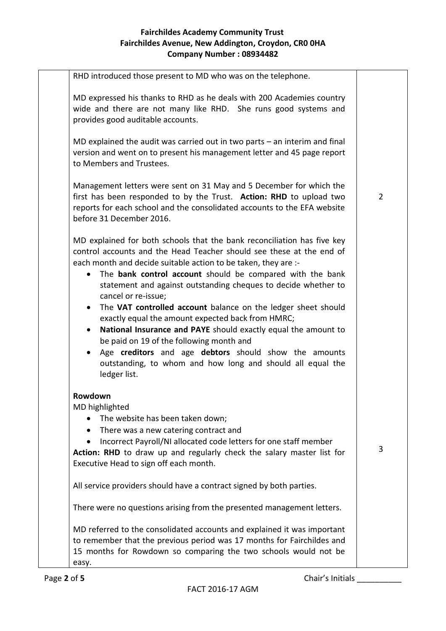| RHD introduced those present to MD who was on the telephone.                                                                                                                                                                                                                                                                                                                                                                                                                                                                                                                                                                                                                                                                                                          |                |
|-----------------------------------------------------------------------------------------------------------------------------------------------------------------------------------------------------------------------------------------------------------------------------------------------------------------------------------------------------------------------------------------------------------------------------------------------------------------------------------------------------------------------------------------------------------------------------------------------------------------------------------------------------------------------------------------------------------------------------------------------------------------------|----------------|
| MD expressed his thanks to RHD as he deals with 200 Academies country<br>wide and there are not many like RHD. She runs good systems and<br>provides good auditable accounts.                                                                                                                                                                                                                                                                                                                                                                                                                                                                                                                                                                                         |                |
| MD explained the audit was carried out in two parts $-$ an interim and final<br>version and went on to present his management letter and 45 page report<br>to Members and Trustees.                                                                                                                                                                                                                                                                                                                                                                                                                                                                                                                                                                                   |                |
| Management letters were sent on 31 May and 5 December for which the<br>first has been responded to by the Trust. Action: RHD to upload two<br>reports for each school and the consolidated accounts to the EFA website<br>before 31 December 2016.                                                                                                                                                                                                                                                                                                                                                                                                                                                                                                                    | $\overline{2}$ |
| MD explained for both schools that the bank reconciliation has five key<br>control accounts and the Head Teacher should see these at the end of<br>each month and decide suitable action to be taken, they are :-<br>• The bank control account should be compared with the bank<br>statement and against outstanding cheques to decide whether to<br>cancel or re-issue;<br>• The VAT controlled account balance on the ledger sheet should<br>exactly equal the amount expected back from HMRC;<br>National Insurance and PAYE should exactly equal the amount to<br>$\bullet$<br>be paid on 19 of the following month and<br>• Age creditors and age debtors should show the amounts<br>outstanding, to whom and how long and should all equal the<br>ledger list. |                |
| Rowdown<br>MD highlighted<br>The website has been taken down;<br>• There was a new catering contract and<br>Incorrect Payroll/NI allocated code letters for one staff member<br>Action: RHD to draw up and regularly check the salary master list for<br>Executive Head to sign off each month.                                                                                                                                                                                                                                                                                                                                                                                                                                                                       | 3              |
| All service providers should have a contract signed by both parties.                                                                                                                                                                                                                                                                                                                                                                                                                                                                                                                                                                                                                                                                                                  |                |
| There were no questions arising from the presented management letters.                                                                                                                                                                                                                                                                                                                                                                                                                                                                                                                                                                                                                                                                                                |                |
| MD referred to the consolidated accounts and explained it was important<br>to remember that the previous period was 17 months for Fairchildes and<br>15 months for Rowdown so comparing the two schools would not be<br>easy.                                                                                                                                                                                                                                                                                                                                                                                                                                                                                                                                         |                |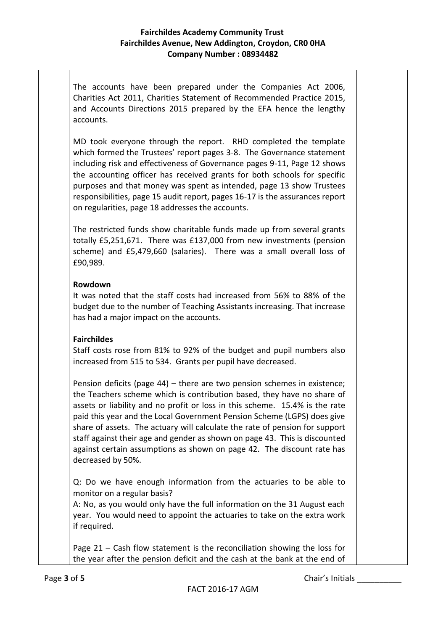The accounts have been prepared under the Companies Act 2006, Charities Act 2011, Charities Statement of Recommended Practice 2015, and Accounts Directions 2015 prepared by the EFA hence the lengthy accounts.

MD took everyone through the report. RHD completed the template which formed the Trustees' report pages 3-8. The Governance statement including risk and effectiveness of Governance pages 9-11, Page 12 shows the accounting officer has received grants for both schools for specific purposes and that money was spent as intended, page 13 show Trustees responsibilities, page 15 audit report, pages 16-17 is the assurances report on regularities, page 18 addresses the accounts.

The restricted funds show charitable funds made up from several grants totally £5,251,671. There was £137,000 from new investments (pension scheme) and £5,479,660 (salaries). There was a small overall loss of £90,989.

#### **Rowdown**

It was noted that the staff costs had increased from 56% to 88% of the budget due to the number of Teaching Assistants increasing. That increase has had a major impact on the accounts.

#### **Fairchildes**

Staff costs rose from 81% to 92% of the budget and pupil numbers also increased from 515 to 534. Grants per pupil have decreased.

Pension deficits (page 44) – there are two pension schemes in existence; the Teachers scheme which is contribution based, they have no share of assets or liability and no profit or loss in this scheme. 15.4% is the rate paid this year and the Local Government Pension Scheme (LGPS) does give share of assets. The actuary will calculate the rate of pension for support staff against their age and gender as shown on page 43. This is discounted against certain assumptions as shown on page 42. The discount rate has decreased by 50%.

Q: Do we have enough information from the actuaries to be able to monitor on a regular basis?

A: No, as you would only have the full information on the 31 August each year. You would need to appoint the actuaries to take on the extra work if required.

Page 21 – Cash flow statement is the reconciliation showing the loss for the year after the pension deficit and the cash at the bank at the end of

Page 3 of 5 **Chair's Initials**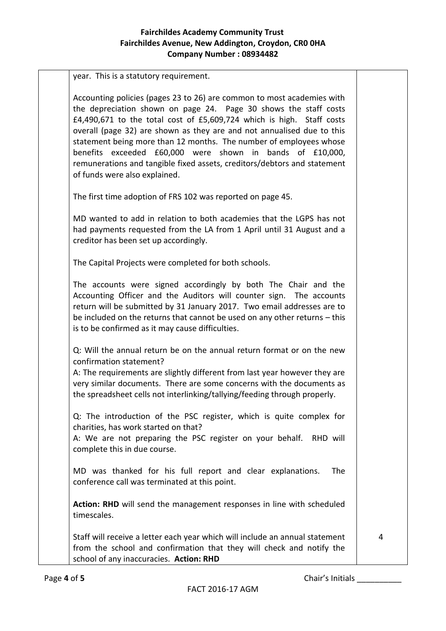year. This is a statutory requirement. Accounting policies (pages 23 to 26) are common to most academies with the depreciation shown on page 24. Page 30 shows the staff costs £4,490,671 to the total cost of £5,609,724 which is high. Staff costs overall (page 32) are shown as they are and not annualised due to this statement being more than 12 months. The number of employees whose benefits exceeded £60,000 were shown in bands of £10,000, remunerations and tangible fixed assets, creditors/debtors and statement of funds were also explained. The first time adoption of FRS 102 was reported on page 45. MD wanted to add in relation to both academies that the LGPS has not had payments requested from the LA from 1 April until 31 August and a creditor has been set up accordingly. The Capital Projects were completed for both schools. The accounts were signed accordingly by both The Chair and the Accounting Officer and the Auditors will counter sign. The accounts return will be submitted by 31 January 2017. Two email addresses are to be included on the returns that cannot be used on any other returns – this is to be confirmed as it may cause difficulties. Q: Will the annual return be on the annual return format or on the new confirmation statement? A: The requirements are slightly different from last year however they are very similar documents. There are some concerns with the documents as the spreadsheet cells not interlinking/tallying/feeding through properly. Q: The introduction of the PSC register, which is quite complex for charities, has work started on that? A: We are not preparing the PSC register on your behalf. RHD will complete this in due course. MD was thanked for his full report and clear explanations. The conference call was terminated at this point. **Action: RHD** will send the management responses in line with scheduled timescales. Staff will receive a letter each year which will include an annual statement from the school and confirmation that they will check and notify the school of any inaccuracies. **Action: RHD** 4

Page 4 of 5 **Chair's Initials**